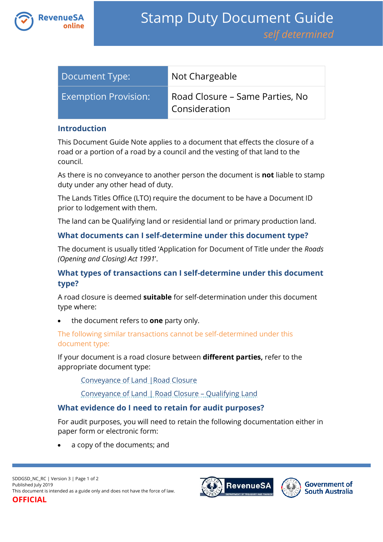

| Document Type:              | Not Chargeable                                   |
|-----------------------------|--------------------------------------------------|
| <b>Exemption Provision:</b> | Road Closure – Same Parties, No<br>Consideration |

#### **Introduction**

This Document Guide Note applies to a document that effects the closure of a road or a portion of a road by a council and the vesting of that land to the council.

As there is no conveyance to another person the document is **not** liable to stamp duty under any other head of duty.

The Lands Titles Office (LTO) require the document to be have a Document ID prior to lodgement with them.

The land can be Qualifying land or residential land or primary production land.

## **What documents can I self-determine under this document type?**

The document is usually titled 'Application for Document of Title under the *Roads (Opening and Closing) Act 1991*'.

# **What types of transactions can I self-determine under this document type?**

A road closure is deemed **suitable** for self-determination under this document type where:

the document refers to **one** party only.

## The following similar transactions cannot be self-determined under this document type:

If your document is a road closure between **different parties,** refer to the appropriate document type:

[Conveyance of Land |Road Closure](https://www.revenuesa.sa.gov.au/stampduty/stamp-duty-document-guide/self-determined/conveyance-of-land/sddgsd_cl_rc_rpp)

[Conveyance of Land | Road Closure](https://www.revenuesa.sa.gov.au/stampduty/stamp-duty-document-guide/self-determined/conveyance-of-land/sddgsd_cl_rc_ql) – Qualifying Land

# **What evidence do I need to retain for audit purposes?**

For audit purposes, you will need to retain the following documentation either in paper form or electronic form:

a copy of the documents; and